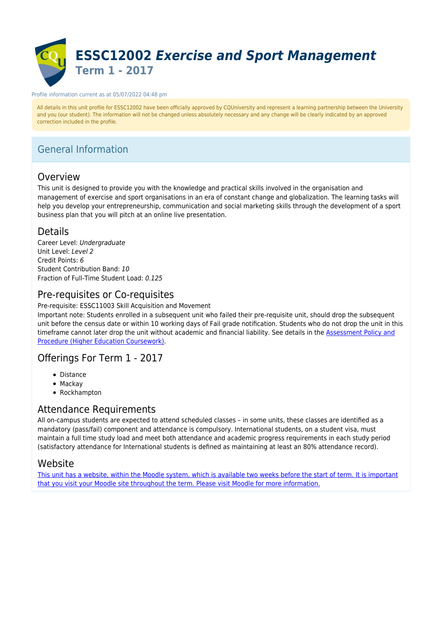

#### Profile information current as at 05/07/2022 04:48 pm

All details in this unit profile for ESSC12002 have been officially approved by CQUniversity and represent a learning partnership between the University and you (our student). The information will not be changed unless absolutely necessary and any change will be clearly indicated by an approved correction included in the profile.

# General Information

### Overview

This unit is designed to provide you with the knowledge and practical skills involved in the organisation and management of exercise and sport organisations in an era of constant change and globalization. The learning tasks will help you develop your entrepreneurship, communication and social marketing skills through the development of a sport business plan that you will pitch at an online live presentation.

### Details

Career Level: Undergraduate Unit Level: Level 2 Credit Points: 6 Student Contribution Band: 10 Fraction of Full-Time Student Load: 0.125

### Pre-requisites or Co-requisites

Pre-requisite: ESSC11003 Skill Acquisition and Movement

Important note: Students enrolled in a subsequent unit who failed their pre-requisite unit, should drop the subsequent unit before the census date or within 10 working days of Fail grade notification. Students who do not drop the unit in this timeframe cannot later drop the unit without academic and financial liability. See details in the **Assessment Policy and** [Procedure \(Higher Education Coursework\)](https://www.cqu.edu.au/policy).

### Offerings For Term 1 - 2017

- Distance
- Mackav
- Rockhampton

### Attendance Requirements

All on-campus students are expected to attend scheduled classes – in some units, these classes are identified as a mandatory (pass/fail) component and attendance is compulsory. International students, on a student visa, must maintain a full time study load and meet both attendance and academic progress requirements in each study period (satisfactory attendance for International students is defined as maintaining at least an 80% attendance record).

### Website

[This unit has a website, within the Moodle system, which is available two weeks before the start of term. It is important](https://moodle.cqu.edu.au) [that you visit your Moodle site throughout the term. Please visit Moodle for more information.](https://moodle.cqu.edu.au)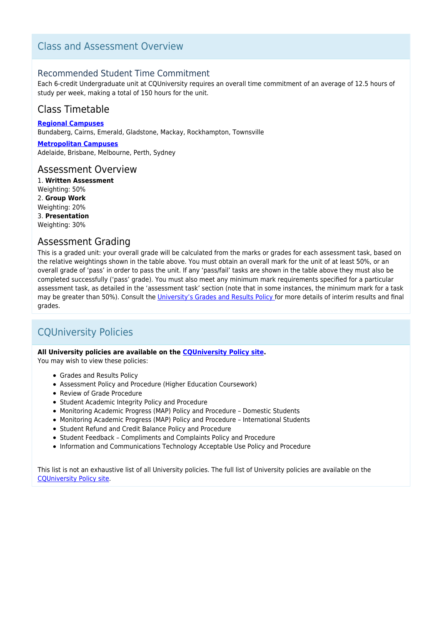### Class and Assessment Overview

### Recommended Student Time Commitment

Each 6-credit Undergraduate unit at CQUniversity requires an overall time commitment of an average of 12.5 hours of study per week, making a total of 150 hours for the unit.

### Class Timetable

**[Regional Campuses](https://handbook.cqu.edu.au/facet/timetables)** Bundaberg, Cairns, Emerald, Gladstone, Mackay, Rockhampton, Townsville

**[Metropolitan Campuses](https://handbook.cqu.edu.au/facet/timetables)** Adelaide, Brisbane, Melbourne, Perth, Sydney

#### Assessment Overview

1. **Written Assessment** Weighting: 50% 2. **Group Work** Weighting: 20% 3. **Presentation** Weighting: 30%

### Assessment Grading

This is a graded unit: your overall grade will be calculated from the marks or grades for each assessment task, based on the relative weightings shown in the table above. You must obtain an overall mark for the unit of at least 50%, or an overall grade of 'pass' in order to pass the unit. If any 'pass/fail' tasks are shown in the table above they must also be completed successfully ('pass' grade). You must also meet any minimum mark requirements specified for a particular assessment task, as detailed in the 'assessment task' section (note that in some instances, the minimum mark for a task may be greater than 50%). Consult the [University's Grades and Results Policy](https://www.cqu.edu.au/policy) for more details of interim results and final grades.

# CQUniversity Policies

#### **All University policies are available on the [CQUniversity Policy site.](https://policy.cqu.edu.au/)**

You may wish to view these policies:

- Grades and Results Policy
- Assessment Policy and Procedure (Higher Education Coursework)
- Review of Grade Procedure
- Student Academic Integrity Policy and Procedure
- Monitoring Academic Progress (MAP) Policy and Procedure Domestic Students
- Monitoring Academic Progress (MAP) Policy and Procedure International Students
- Student Refund and Credit Balance Policy and Procedure
- Student Feedback Compliments and Complaints Policy and Procedure
- Information and Communications Technology Acceptable Use Policy and Procedure

This list is not an exhaustive list of all University policies. The full list of University policies are available on the [CQUniversity Policy site.](https://policy.cqu.edu.au/)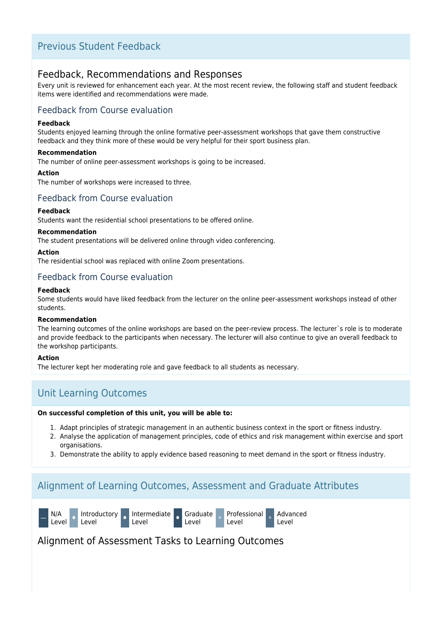### Previous Student Feedback

### Feedback, Recommendations and Responses

Every unit is reviewed for enhancement each year. At the most recent review, the following staff and student feedback items were identified and recommendations were made.

### Feedback from Course evaluation

#### **Feedback**

Students enjoyed learning through the online formative peer-assessment workshops that gave them constructive feedback and they think more of these would be very helpful for their sport business plan.

#### **Recommendation**

The number of online peer-assessment workshops is going to be increased.

#### **Action**

The number of workshops were increased to three.

### Feedback from Course evaluation

#### **Feedback**

Students want the residential school presentations to be offered online.

#### **Recommendation**

The student presentations will be delivered online through video conferencing.

#### **Action**

The residential school was replaced with online Zoom presentations.

### Feedback from Course evaluation

#### **Feedback**

Some students would have liked feedback from the lecturer on the online peer-assessment workshops instead of other students.

#### **Recommendation**

The learning outcomes of the online workshops are based on the peer-review process. The lecturer`s role is to moderate and provide feedback to the participants when necessary. The lecturer will also continue to give an overall feedback to the workshop participants.

#### **Action**

The lecturer kept her moderating role and gave feedback to all students as necessary.

## Unit Learning Outcomes

#### **On successful completion of this unit, you will be able to:**

- 1. Adapt principles of strategic management in an authentic business context in the sport or fitness industry.
- 2. Analyse the application of management principles, code of ethics and risk management within exercise and sport organisations.
- 3. Demonstrate the ability to apply evidence based reasoning to meet demand in the sport or fitness industry.

## Alignment of Learning Outcomes, Assessment and Graduate Attributes



### Alignment of Assessment Tasks to Learning Outcomes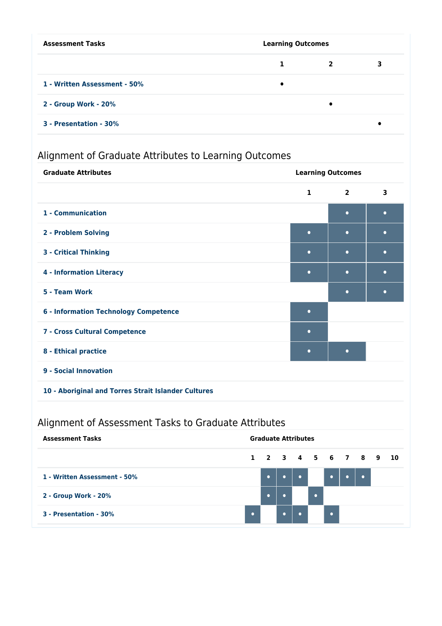| <b>Assessment Tasks</b>      | <b>Learning Outcomes</b> |                |   |
|------------------------------|--------------------------|----------------|---|
|                              | 1                        | $\overline{2}$ | 3 |
| 1 - Written Assessment - 50% | ٠                        |                |   |
| 2 - Group Work - 20%         |                          | $\bullet$      |   |
| 3 - Presentation - 30%       |                          |                |   |

# Alignment of Graduate Attributes to Learning Outcomes

| <b>Graduate Attributes</b>                          | <b>Learning Outcomes</b> |                |           |  |
|-----------------------------------------------------|--------------------------|----------------|-----------|--|
|                                                     | $\mathbf{1}$             | $\overline{2}$ | 3         |  |
| 1 - Communication                                   |                          | $\bullet$      | $\bullet$ |  |
| 2 - Problem Solving                                 | $\bullet$                | $\bullet$      | $\bullet$ |  |
| <b>3 - Critical Thinking</b>                        | $\bullet$                | $\bullet$      | $\bullet$ |  |
| <b>4 - Information Literacy</b>                     | $\bullet$                | $\bullet$      | $\bullet$ |  |
| 5 - Team Work                                       |                          | $\bullet$      | $\bullet$ |  |
| <b>6 - Information Technology Competence</b>        | $\bullet$                |                |           |  |
| 7 - Cross Cultural Competence                       | $\bullet$                |                |           |  |
| 8 - Ethical practice                                | $\bullet$                | $\bullet$      |           |  |
| 9 - Social Innovation                               |                          |                |           |  |
| 10 - Aboriginal and Torres Strait Islander Cultures |                          |                |           |  |

# Alignment of Assessment Tasks to Graduate Attributes

| <b>Assessment Tasks</b>      | <b>Graduate Attributes</b> |           |  |           |                |                      |  |  |
|------------------------------|----------------------------|-----------|--|-----------|----------------|----------------------|--|--|
|                              |                            |           |  |           |                | 1 2 3 4 5 6 7 8 9 10 |  |  |
| 1 - Written Assessment - 50% |                            | $\bullet$ |  |           |                |                      |  |  |
| 2 - Group Work - 20%         |                            |           |  |           |                |                      |  |  |
| 3 - Presentation - 30%       | $\bullet$                  |           |  | $\bullet$ | $\blacksquare$ |                      |  |  |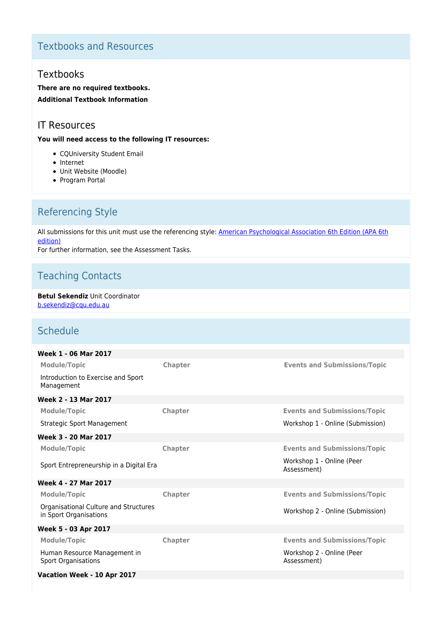# Textbooks and Resources

### **Textbooks**

**There are no required textbooks. Additional Textbook Information**

### IT Resources

**You will need access to the following IT resources:**

- CQUniversity Student Email
- Internet
- Unit Website (Moodle)
- Program Portal

# Referencing Style

All submissions for this unit must use the referencing style: [American Psychological Association 6th Edition \(APA 6th](https://sportal.cqu.edu.au/__data/assets/pdf_file/0026/107684/APA_Referencing_Guide-2019.pdf) [edition\)](https://sportal.cqu.edu.au/__data/assets/pdf_file/0026/107684/APA_Referencing_Guide-2019.pdf)

For further information, see the Assessment Tasks.

# Teaching Contacts

**Betul Sekendiz** Unit Coordinator [b.sekendiz@cqu.edu.au](mailto:b.sekendiz@cqu.edu.au)

# Schedule

| Week 1 - 06 Mar 2017                                            |                |                                          |
|-----------------------------------------------------------------|----------------|------------------------------------------|
| <b>Module/Topic</b>                                             | Chapter        | <b>Events and Submissions/Topic</b>      |
| Introduction to Exercise and Sport<br>Management                |                |                                          |
| Week 2 - 13 Mar 2017                                            |                |                                          |
| <b>Module/Topic</b>                                             | <b>Chapter</b> | <b>Events and Submissions/Topic</b>      |
| Strategic Sport Management                                      |                | Workshop 1 - Online (Submission)         |
| Week 3 - 20 Mar 2017                                            |                |                                          |
| <b>Module/Topic</b>                                             | <b>Chapter</b> | <b>Events and Submissions/Topic</b>      |
| Sport Entrepreneurship in a Digital Era                         |                | Workshop 1 - Online (Peer<br>Assessment) |
| Week 4 - 27 Mar 2017                                            |                |                                          |
| <b>Module/Topic</b>                                             | <b>Chapter</b> | <b>Events and Submissions/Topic</b>      |
| Organisational Culture and Structures<br>in Sport Organisations |                | Workshop 2 - Online (Submission)         |
| Week 5 - 03 Apr 2017                                            |                |                                          |
| <b>Module/Topic</b>                                             | <b>Chapter</b> | <b>Events and Submissions/Topic</b>      |
| Human Resource Management in<br><b>Sport Organisations</b>      |                | Workshop 2 - Online (Peer<br>Assessment) |
| Vacation Week - 10 Apr 2017                                     |                |                                          |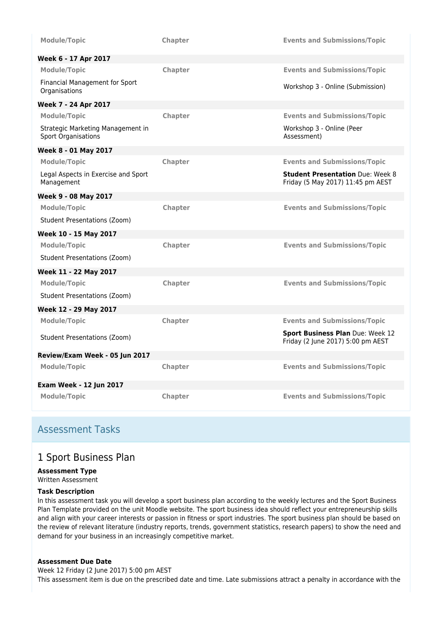| <b>Module/Topic</b>                                             | <b>Chapter</b> | <b>Events and Submissions/Topic</b>                                          |
|-----------------------------------------------------------------|----------------|------------------------------------------------------------------------------|
| Week 6 - 17 Apr 2017                                            |                |                                                                              |
| <b>Module/Topic</b>                                             | Chapter        | <b>Events and Submissions/Topic</b>                                          |
| Financial Management for Sport<br>Organisations                 |                | Workshop 3 - Online (Submission)                                             |
| Week 7 - 24 Apr 2017                                            |                |                                                                              |
| <b>Module/Topic</b>                                             | Chapter        | <b>Events and Submissions/Topic</b>                                          |
| Strategic Marketing Management in<br><b>Sport Organisations</b> |                | Workshop 3 - Online (Peer<br>Assessment)                                     |
| Week 8 - 01 May 2017                                            |                |                                                                              |
| <b>Module/Topic</b>                                             | Chapter        | <b>Events and Submissions/Topic</b>                                          |
| Legal Aspects in Exercise and Sport<br>Management               |                | <b>Student Presentation Due: Week 8</b><br>Friday (5 May 2017) 11:45 pm AEST |
| Week 9 - 08 May 2017                                            |                |                                                                              |
| <b>Module/Topic</b>                                             | Chapter        | <b>Events and Submissions/Topic</b>                                          |
| <b>Student Presentations (Zoom)</b>                             |                |                                                                              |
| Week 10 - 15 May 2017                                           |                |                                                                              |
| <b>Module/Topic</b>                                             | Chapter        | <b>Events and Submissions/Topic</b>                                          |
| Student Presentations (Zoom)                                    |                |                                                                              |
| Week 11 - 22 May 2017                                           |                |                                                                              |
| <b>Module/Topic</b>                                             | <b>Chapter</b> | <b>Events and Submissions/Topic</b>                                          |
| <b>Student Presentations (Zoom)</b>                             |                |                                                                              |
| Week 12 - 29 May 2017                                           |                |                                                                              |
| <b>Module/Topic</b>                                             | <b>Chapter</b> | <b>Events and Submissions/Topic</b>                                          |
| Student Presentations (Zoom)                                    |                | Sport Business Plan Due: Week 12<br>Friday (2 June 2017) 5:00 pm AEST        |
| Review/Exam Week - 05 Jun 2017                                  |                |                                                                              |
| <b>Module/Topic</b>                                             | Chapter        | <b>Events and Submissions/Topic</b>                                          |
| <b>Exam Week - 12 Jun 2017</b>                                  |                |                                                                              |
| <b>Module/Topic</b>                                             | <b>Chapter</b> | <b>Events and Submissions/Topic</b>                                          |

### Assessment Tasks

### 1 Sport Business Plan

# **Assessment Type**

Written Assessment

### **Task Description**

In this assessment task you will develop a sport business plan according to the weekly lectures and the Sport Business Plan Template provided on the unit Moodle website. The sport business idea should reflect your entrepreneurship skills and align with your career interests or passion in fitness or sport industries. The sport business plan should be based on the review of relevant literature (industry reports, trends, government statistics, research papers) to show the need and demand for your business in an increasingly competitive market.

#### **Assessment Due Date**

Week 12 Friday (2 June 2017) 5:00 pm AEST This assessment item is due on the prescribed date and time. Late submissions attract a penalty in accordance with the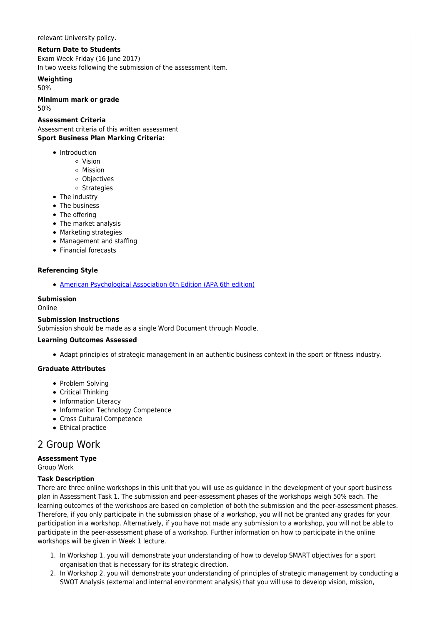relevant University policy.

#### **Return Date to Students**

Exam Week Friday (16 June 2017) In two weeks following the submission of the assessment item.

### **Weighting**

50%

#### **Minimum mark or grade**

50%

#### **Assessment Criteria**

Assessment criteria of this written assessment **Sport Business Plan Marking Criteria:**

- Introduction
	- Vision
	- Mission
	- o Objectives
	- o Strategies
- The industry
- The business
- The offering
- The market analysis
- Marketing strategies
- Management and staffing
- Financial forecasts

#### **Referencing Style**

[American Psychological Association 6th Edition \(APA 6th edition\)](https://sportal.cqu.edu.au/__data/assets/pdf_file/0026/107684/APA_Referencing_Guide-2019.pdf)

#### **Submission**

Online

#### **Submission Instructions**

Submission should be made as a single Word Document through Moodle.

#### **Learning Outcomes Assessed**

Adapt principles of strategic management in an authentic business context in the sport or fitness industry.

#### **Graduate Attributes**

- Problem Solving
- Critical Thinking
- Information Literacy
- Information Technology Competence
- Cross Cultural Competence
- Ethical practice

### 2 Group Work

**Assessment Type** Group Work

#### **Task Description**

There are three online workshops in this unit that you will use as guidance in the development of your sport business plan in Assessment Task 1. The submission and peer-assessment phases of the workshops weigh 50% each. The learning outcomes of the workshops are based on completion of both the submission and the peer-assessment phases. Therefore, if you only participate in the submission phase of a workshop, you will not be granted any grades for your participation in a workshop. Alternatively, if you have not made any submission to a workshop, you will not be able to participate in the peer-assessment phase of a workshop. Further information on how to participate in the online workshops will be given in Week 1 lecture.

- 1. In Workshop 1, you will demonstrate your understanding of how to develop SMART objectives for a sport organisation that is necessary for its strategic direction.
- 2. In Workshop 2, you will demonstrate your understanding of principles of strategic management by conducting a SWOT Analysis (external and internal environment analysis) that you will use to develop vision, mission,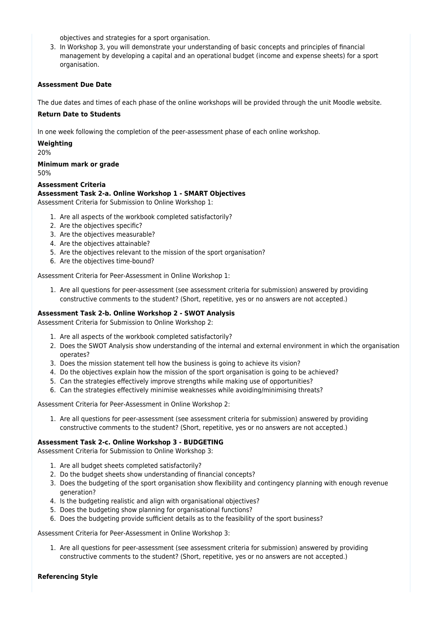objectives and strategies for a sport organisation.

3. In Workshop 3, you will demonstrate your understanding of basic concepts and principles of financial management by developing a capital and an operational budget (income and expense sheets) for a sport organisation.

#### **Assessment Due Date**

The due dates and times of each phase of the online workshops will be provided through the unit Moodle website.

#### **Return Date to Students**

In one week following the completion of the peer-assessment phase of each online workshop.

**Weighting** 20%

**Minimum mark or grade** 50%

**Assessment Criteria**

#### **Assessment Task 2-a. Online Workshop 1 - SMART Objectives**

Assessment Criteria for Submission to Online Workshop 1:

- 1. Are all aspects of the workbook completed satisfactorily?
- 2. Are the objectives specific?
- 3. Are the objectives measurable?
- 4. Are the objectives attainable?
- 5. Are the objectives relevant to the mission of the sport organisation?
- 6. Are the objectives time-bound?

Assessment Criteria for Peer-Assessment in Online Workshop 1:

1. Are all questions for peer-assessment (see assessment criteria for submission) answered by providing constructive comments to the student? (Short, repetitive, yes or no answers are not accepted.)

#### **Assessment Task 2-b. Online Workshop 2 - SWOT Analysis**

Assessment Criteria for Submission to Online Workshop 2:

- 1. Are all aspects of the workbook completed satisfactorily?
- 2. Does the SWOT Analysis show understanding of the internal and external environment in which the organisation operates?
- 3. Does the mission statement tell how the business is going to achieve its vision?
- 4. Do the objectives explain how the mission of the sport organisation is going to be achieved?
- 5. Can the strategies effectively improve strengths while making use of opportunities?
- 6. Can the strategies effectively minimise weaknesses while avoiding/minimising threats?

Assessment Criteria for Peer-Assessment in Online Workshop 2:

1. Are all questions for peer-assessment (see assessment criteria for submission) answered by providing constructive comments to the student? (Short, repetitive, yes or no answers are not accepted.)

#### **Assessment Task 2-c. Online Workshop 3 - BUDGETING**

Assessment Criteria for Submission to Online Workshop 3:

- 1. Are all budget sheets completed satisfactorily?
- 2. Do the budget sheets show understanding of financial concepts?
- 3. Does the budgeting of the sport organisation show flexibility and contingency planning with enough revenue generation?
- 4. Is the budgeting realistic and align with organisational objectives?
- 5. Does the budgeting show planning for organisational functions?
- 6. Does the budgeting provide sufficient details as to the feasibility of the sport business?

#### Assessment Criteria for Peer-Assessment in Online Workshop 3:

1. Are all questions for peer-assessment (see assessment criteria for submission) answered by providing constructive comments to the student? (Short, repetitive, yes or no answers are not accepted.)

#### **Referencing Style**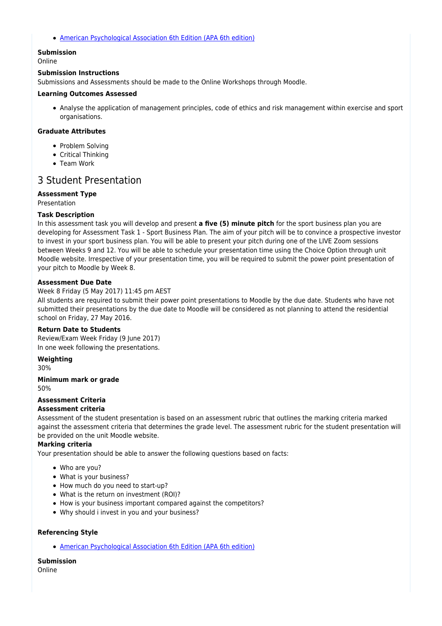[American Psychological Association 6th Edition \(APA 6th edition\)](https://sportal.cqu.edu.au/__data/assets/pdf_file/0026/107684/APA_Referencing_Guide-2019.pdf)

### **Submission**

Online

#### **Submission Instructions**

Submissions and Assessments should be made to the Online Workshops through Moodle.

#### **Learning Outcomes Assessed**

Analyse the application of management principles, code of ethics and risk management within exercise and sport organisations.

#### **Graduate Attributes**

- Problem Solving
- Critical Thinking
- Team Work

### 3 Student Presentation

#### **Assessment Type**

**Precentation** 

#### **Task Description**

In this assessment task you will develop and present **a five (5) minute pitch** for the sport business plan you are developing for Assessment Task 1 - Sport Business Plan. The aim of your pitch will be to convince a prospective investor to invest in your sport business plan. You will be able to present your pitch during one of the LIVE Zoom sessions between Weeks 9 and 12. You will be able to schedule your presentation time using the Choice Option through unit Moodle website. Irrespective of your presentation time, you will be required to submit the power point presentation of your pitch to Moodle by Week 8.

#### **Assessment Due Date**

#### Week 8 Friday (5 May 2017) 11:45 pm AEST

All students are required to submit their power point presentations to Moodle by the due date. Students who have not submitted their presentations by the due date to Moodle will be considered as not planning to attend the residential school on Friday, 27 May 2016.

#### **Return Date to Students**

Review/Exam Week Friday (9 June 2017) In one week following the presentations.

#### **Weighting**

30%

#### **Minimum mark or grade** 50%

#### **Assessment Criteria**

#### **Assessment criteria**

Assessment of the student presentation is based on an assessment rubric that outlines the marking criteria marked against the assessment criteria that determines the grade level. The assessment rubric for the student presentation will be provided on the unit Moodle website.

#### **Marking criteria**

Your presentation should be able to answer the following questions based on facts:

- Who are you?
- What is your business?
- How much do you need to start-up?
- What is the return on investment (ROI)?
- How is your business important compared against the competitors?
- Why should i invest in you and your business?

#### **Referencing Style**

[American Psychological Association 6th Edition \(APA 6th edition\)](https://sportal.cqu.edu.au/__data/assets/pdf_file/0026/107684/APA_Referencing_Guide-2019.pdf)

#### **Submission**

Online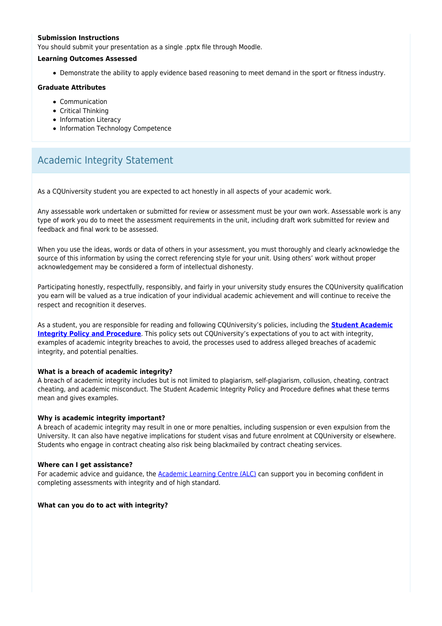#### **Submission Instructions**

You should submit your presentation as a single .pptx file through Moodle.

#### **Learning Outcomes Assessed**

Demonstrate the ability to apply evidence based reasoning to meet demand in the sport or fitness industry.

#### **Graduate Attributes**

- Communication
- Critical Thinking
- Information Literacy
- Information Technology Competence

# Academic Integrity Statement

As a CQUniversity student you are expected to act honestly in all aspects of your academic work.

Any assessable work undertaken or submitted for review or assessment must be your own work. Assessable work is any type of work you do to meet the assessment requirements in the unit, including draft work submitted for review and feedback and final work to be assessed.

When you use the ideas, words or data of others in your assessment, you must thoroughly and clearly acknowledge the source of this information by using the correct referencing style for your unit. Using others' work without proper acknowledgement may be considered a form of intellectual dishonesty.

Participating honestly, respectfully, responsibly, and fairly in your university study ensures the CQUniversity qualification you earn will be valued as a true indication of your individual academic achievement and will continue to receive the respect and recognition it deserves.

As a student, you are responsible for reading and following CQUniversity's policies, including the **[Student Academic](https://www.cqu.edu.au/policy/sharepoint-document-download?file_uri={BE8380F3-F86D-4C55-AC0D-84A81EAFD6A2}/Student%20Academic%20Integrity%20Policy%20and%20Procedure%20(formerly%20known%20as%20the%20Academic%20Misconduct%20Procedure).pdf) [Integrity Policy and Procedure](https://www.cqu.edu.au/policy/sharepoint-document-download?file_uri={BE8380F3-F86D-4C55-AC0D-84A81EAFD6A2}/Student%20Academic%20Integrity%20Policy%20and%20Procedure%20(formerly%20known%20as%20the%20Academic%20Misconduct%20Procedure).pdf)**. This policy sets out CQUniversity's expectations of you to act with integrity, examples of academic integrity breaches to avoid, the processes used to address alleged breaches of academic integrity, and potential penalties.

#### **What is a breach of academic integrity?**

A breach of academic integrity includes but is not limited to plagiarism, self-plagiarism, collusion, cheating, contract cheating, and academic misconduct. The Student Academic Integrity Policy and Procedure defines what these terms mean and gives examples.

#### **Why is academic integrity important?**

A breach of academic integrity may result in one or more penalties, including suspension or even expulsion from the University. It can also have negative implications for student visas and future enrolment at CQUniversity or elsewhere. Students who engage in contract cheating also risk being blackmailed by contract cheating services.

#### **Where can I get assistance?**

For academic advice and guidance, the [Academic Learning Centre \(ALC\)](https://www.cqu.edu.au/student-life/academic-learning-centre) can support you in becoming confident in completing assessments with integrity and of high standard.

#### **What can you do to act with integrity?**